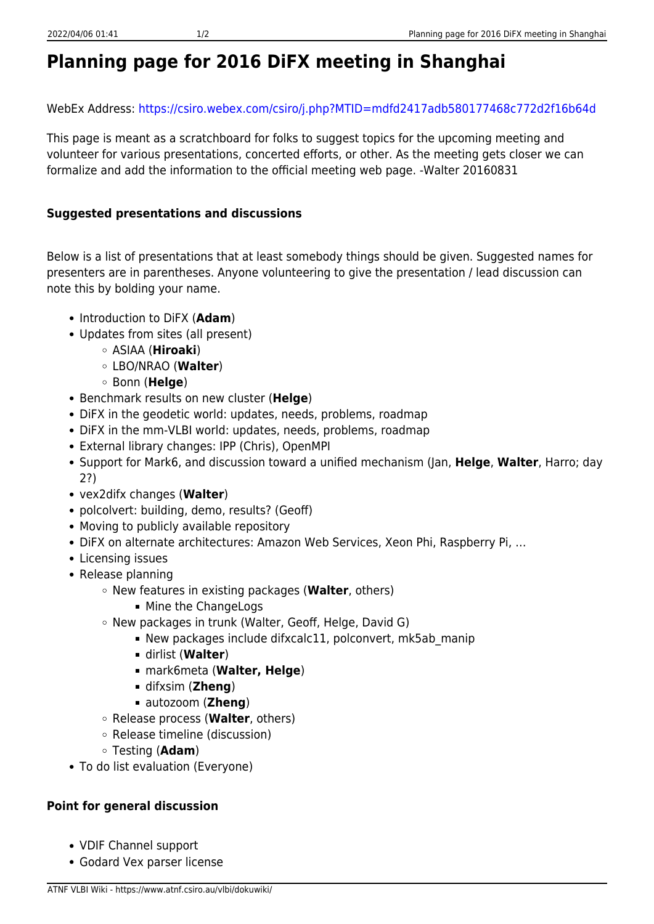WebEx Address:<https://csiro.webex.com/csiro/j.php?MTID=mdfd2417adb580177468c772d2f16b64d>

This page is meant as a scratchboard for folks to suggest topics for the upcoming meeting and volunteer for various presentations, concerted efforts, or other. As the meeting gets closer we can formalize and add the information to the official meeting web page. -Walter 20160831

## **Suggested presentations and discussions**

Below is a list of presentations that at least somebody things should be given. Suggested names for presenters are in parentheses. Anyone volunteering to give the presentation / lead discussion can note this by bolding your name.

- Introduction to DiFX (**Adam**)
- Updates from sites (all present)
	- ASIAA (**Hiroaki**)
	- LBO/NRAO (**Walter**)
	- Bonn (**Helge**)
- Benchmark results on new cluster (**Helge**)
- DiFX in the geodetic world: updates, needs, problems, roadmap
- DiFX in the mm-VLBI world: updates, needs, problems, roadmap
- External library changes: IPP (Chris), OpenMPI
- Support for Mark6, and discussion toward a unified mechanism (Jan, **Helge**, **Walter**, Harro; day 2?)
- vex2difx changes (**Walter**)
- polcolvert: building, demo, results? (Geoff)
- Moving to publicly available repository
- DiFX on alternate architectures: Amazon Web Services, Xeon Phi, Raspberry Pi, …
- Licensing issues
- Release planning
	- New features in existing packages (**Walter**, others)
		- **Mine the ChangeLogs**
	- New packages in trunk (Walter, Geoff, Helge, David G)
		- New packages include difxcalc11, polconvert, mk5ab\_manip
		- dirlist (**Walter**)
		- mark6meta (**Walter, Helge**)
		- difxsim (**Zheng**)
		- autozoom (**Zheng**)
	- Release process (**Walter**, others)
	- Release timeline (discussion)
	- Testing (**Adam**)
- To do list evaluation (Everyone)

## **Point for general discussion**

- VDIF Channel support
- Godard Vex parser license